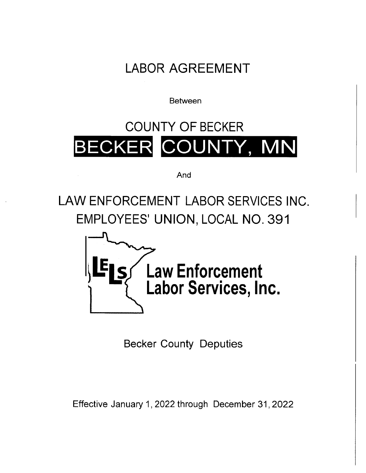LABOR AGREEMENT

Between

# COUNTY OF BECKER ECKER COUNTY, MN

And

LAW ENFORCEMENT LABOR SERVICES INC. EMPLOYEES' UNION, LOCAL NO. 391



Becker County Deputies

Effective January 1, 2022 through December 31, 2022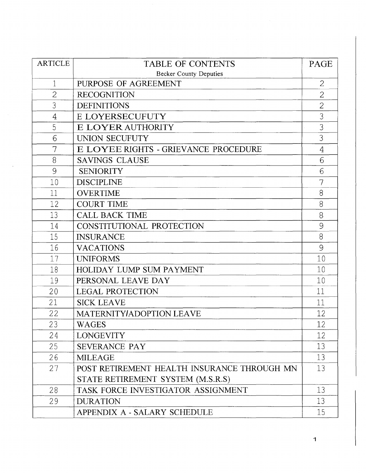| <b>ARTICLE</b> | <b>TABLE OF CONTENTS</b>                    |                |  |  |  |  |  |
|----------------|---------------------------------------------|----------------|--|--|--|--|--|
|                | <b>Becker County Deputies</b>               |                |  |  |  |  |  |
| 1              | PURPOSE OF AGREEMENT                        | $\overline{2}$ |  |  |  |  |  |
| $\overline{2}$ | <b>RECOGNITION</b>                          | $\mathbf{2}$   |  |  |  |  |  |
| 3              | <b>DEFINITIONS</b>                          | $\overline{2}$ |  |  |  |  |  |
| 4              | E LOYERSECUFUTY                             | 3              |  |  |  |  |  |
| 5              | E LOYER AUTHORITY                           | 3              |  |  |  |  |  |
| 6              | UNION SECUFUTY                              | 3              |  |  |  |  |  |
| 7              | E LOYEE RIGHTS - GRIEVANCE PROCEDURE        | $\overline{4}$ |  |  |  |  |  |
| 8              | <b>SAVINGS CLAUSE</b>                       | 6              |  |  |  |  |  |
| 9              | <b>SENIORITY</b>                            | 6              |  |  |  |  |  |
| 10             | <b>DISCIPLINE</b>                           | 7              |  |  |  |  |  |
| 11             | <b>OVERTIME</b>                             | 8              |  |  |  |  |  |
| 12             | <b>COURT TIME</b>                           | 8              |  |  |  |  |  |
| 13             | <b>CALL BACK TIME</b>                       | 8.             |  |  |  |  |  |
| 14             | CONSTITUTIONAL PROTECTION                   | 9              |  |  |  |  |  |
| 15             | <b>INSURANCE</b>                            | 8              |  |  |  |  |  |
| 16             | <b>VACATIONS</b>                            | 9              |  |  |  |  |  |
| 17             | <b>UNIFORMS</b>                             | 10             |  |  |  |  |  |
| 18             | HOLIDAY LUMP SUM PAYMENT                    | 10             |  |  |  |  |  |
| 19             | PERSONAL LEAVE DAY                          | 10             |  |  |  |  |  |
| 20             | <b>LEGAL PROTECTION</b>                     | 11             |  |  |  |  |  |
| 21             | <b>SICK LEAVE</b>                           | 11             |  |  |  |  |  |
| 22             | MATERNITY/ADOPTION LEAVE                    | 12             |  |  |  |  |  |
| 23             | <b>WAGES</b>                                | 12             |  |  |  |  |  |
| 24             | <b>LONGEVITY</b>                            | 12             |  |  |  |  |  |
| 25             | SEVERANCE PAY                               | 13             |  |  |  |  |  |
| 26             | <b>MILEAGE</b>                              | 13             |  |  |  |  |  |
| 27             | POST RETIREMENT HEALTH INSURANCE THROUGH MN | 13             |  |  |  |  |  |
|                | STATE RETIREMENT SYSTEM (M.S.R.S)           |                |  |  |  |  |  |
| 28             | TASK FORCE INVESTIGATOR ASSIGNMENT          | 13             |  |  |  |  |  |
| 29             | <b>DURATION</b>                             | 13             |  |  |  |  |  |
|                | APPENDIX A - SALARY SCHEDULE                | 15             |  |  |  |  |  |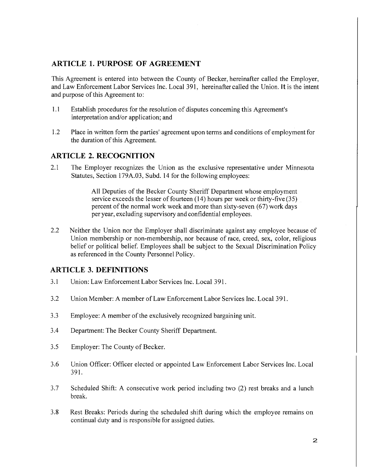## **ARTICLE 1. PURPOSE OF AGREEMENT**

This Agreement is entered into between the County of Becker, hereinafter called the Employer, and Law Enforcement Labor Services Inc. Local 391, hereinafter called the Union. **It** is the intent and purpose of this Agreement to:

- 1.1 Establish procedures for the resolution of disputes concerning this Agreement's interpretation and/or application; and
- 1.2 Place in written form the parties' agreement upon terms and conditions of employment for the duration of this Agreement.

# **ARTICLE 2. RECOGNITION**

2.1 The Employer recognizes the Union as the exclusive representative under Minnesota Statutes, Section 179A.03, Subd. 14 for the following employees:

> All Deputies of the Becker County Sheriff Department whose employment service exceeds the lesser of fourteen (14) hours per week or thirty-five (35) percent of the normal work week and more than sixty-seven (67) work days per year, excluding supervisory and confidential employees.

2.2 Neither the Union nor the Employer shall discriminate against any employee because of Union membership or non-membership, nor because of race, creed, sex, color, religious belief or political belief. Employees shall be subject to the Sexual Discrimination Policy as referenced in the County Personnel Policy.

## **ARTICLE 3. DEFINITIONS**

- 3.1 Union: Law Enforcement Labor Services Inc. Local 391.
- 3 .2 Union Member: A member of Law Enforcement Labor Services Inc. Local 3 91.
- 3.3 Employee: A member of the exclusively recognized bargaining unit.
- 3.4 Department: The Becker County Sheriff Department.
- 3.5 Employer: The County of Becker.
- 3.6 Union Officer: Officer elected or appointed Law Enforcement Labor Services Inc. Local 391.
- 3.7 Scheduled Shift: A consecutive work period including two (2) rest breaks and a lunch break.
- 3.8 Rest Breaks: Periods during the scheduled shift during which the employee remains on continual duty and is responsible for assigned duties.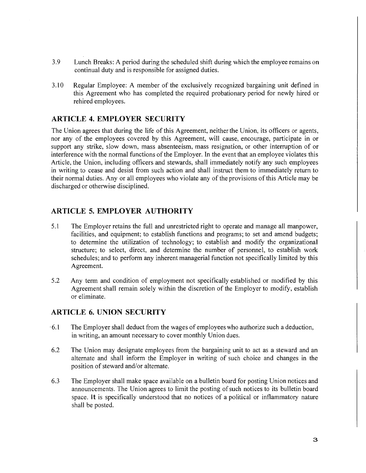- 3.9 Lunch Breaks: A period during the scheduled shift during which the employee remains on continual duty and is responsible for assigned duties.
- 3.10 Regular Employee: A member of the exclusively recognized bargaining unit defined in this Agreement who has completed the required probationary period for newly hired or rehired employees.

# **ARTICLE 4. EMPLOYER SECURITY**

The Union agrees that during the life of this Agreement, neither the Union, its officers or agents, nor any of the employees covered by this Agreement, will cause, encourage, participate in or support any strike, slow down, mass absenteeism, mass resignation, or other interruption of or interference with the normal functions of the Employer. In the event that an employee violates this Article, the Union, including officers and stewards, shall immediately notify any such employees in writing to cease and desist from such action and shall instruct them to immediately return to their normal duties. Any or all employees who violate any of the provisions of this Article may be discharged or otherwise disciplined.

# **ARTICLE 5. EMPLOYER AUTHORITY**

- 5.1 The Employer retains the full and unrestricted right to operate and manage all manpower, facilities, and equipment; to establish functions and programs; to set and amend budgets; to determine the utilization of technology; to establish and modify the organizational structure; to select, direct, and determine the number of personnel, to establish work schedules; and to perform any inherent managerial function not specifically limited by this Agreement.
- 5.2 Any term and condition of employment not specifically established or modified by this Agreement shall remain solely within the discretion of the Employer to modify, establish or eliminate.

# **ARTICLE 6. UNION SECURITY**

- · 6.1 The Employer shall deduct from the wages of employees who authorize such a deduction, in writing, an amount necessary to cover monthly Union dues.
- 6.2 The Union may designate employees from the bargaining unit to act as a steward and an alternate and shall inform the Employer in writing of such choice and changes in the position of steward and/or alternate.
- 6.3 The Employer shall make space available on a bulletin board for posting Union notices and announcements. The Union agrees to limit the posting of such notices to its bulletin board space. **It** is specifically understood that no notices of a political or inflammatory nature shall be posted.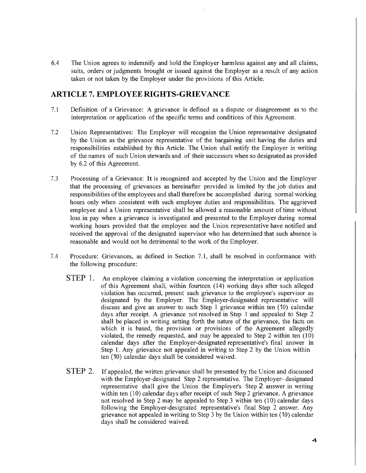6.4 The Union agrees to indemnify and hold the Employer harmless against any and all claims, suits, orders or judgments brought or issued against the Employer as a result of any action taken or not taken by the Employer under the provisions of this Article.

# **ARTICLE 7. EMPLOYEE RIGHTS-GRIEVANCE**

- 7.1 Definition of a Grievance: A grievance is defined as a dispute or disagreement as to the interpretation or application of the specific terms and conditions of this Agreement.
- 7.2 Union Representatives: The Employer will recognize the Union representative designated by the Union as the grievance representative of the bargaining unit having the duties and responsibilities established by this Article. The Union shall notify the Employer in writing of the names of such Union stewards and of their successors when so designated as provided by 6.2 of this Agreement.
- 7.3 Processing of a Grievance: It is recognized and accepted by the Union and the Employer that the processing of grievances as hereinafter provided is limited by the job duties and responsibilities of the employees and shall therefore be accomplished during normal working hours only when consistent with such employee duties and responsibilities. The aggrieved employee and a Union representative shall be allowed a reasonable amount of time without loss in pay when a grievance is investigated and presented to the Employer during normal working hours provided that the employee and the Union representative have notified and received the approval of the designated supervisor who has determined that such absence is reasonable and would not be detrimental to the work of the Employer.
- 7.4 Procedure: Grievances, as defined in Section 7.1, shall be resolved in conformance with the following procedure:
	- STEP 1. An employee claiming a violation concerning the interpretation or application of this Agreement shall, within fourteen (14) working days after such alleged violation has occurred, present such grievance to the employee's supervisor as designated by the Employer. The Employer-designated representative will discuss and give an answer to such Step 1 grievance within ten (10) calendar days after receipt. A grievance not resolved in Step 1 and appealed to Step 2 shall be placed in writing setting forth the nature of the grievance, the facts on which it is based, the provision or provisions of the Agreement allegedly violated, the remedy requested, and may be appealed to Step 2 within ten (10) calendar days after the Employer-designated representative's final answer in Step 1. Any grievance not appealed in writing to Step 2 by the Union within ten (10) calendar days shall be considered waived.
	- **STEP** 2. If appealed, the written grievance shall be presented by the Union and discussed with the Employer-designated Step 2 representative. The Employer- designated representative shall give the Union the Employer's Step **2** answer in writing within ten (10) calendar days after receipt of such Step 2 grievance. A grievance not resolved in Step 2 may be appealed to Step 3 within ten (10) calendar days following the Employer-designated representative's final Step 2 answer. Any grievance not appealed in writing to Step 3 by the Union within ten (10) calendar days shall be considered waived.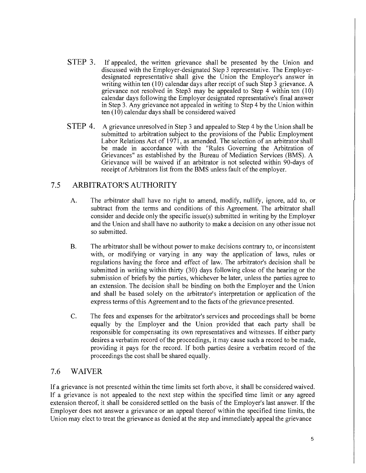- STEP 3. If appealed, the written grievance shall be presented by the Union and discussed with the Employer-designated Step 3 representative. The Employerdesignated representative shall give the Union the Employer's answer in writing within ten (10) calendar days after receipt of such Step 3 grievance. A grievance not resolved in Step3 may be appealed to Step 4 within ten (10) calendar days following the Employer designated representative's final answer in Step 3. Any grievance not appealed in writing to Step 4 by the Union within  $ten (10)$  calendar days shall be considered waived
- STEP 4. A grievance unresolved in Step 3 and appealed to Step 4 by the Union shall be submitted to arbitration subject to the provisions of the Public Employment Labor Relations Act of 1971, as amended. The selection of an arbitrator shall be made in accordance with the "Rules Governing the Arbitration of Grievances" as established by the Bureau of Mediation Services (BMS). A Grievance will be waived if an arbitrator is not selected within 90-days of receipt of Arbitrators list from the BMS unless fault of the employer.

# 7 .5 ARBITRATOR'S AUTHORITY

- A. The arbitrator shall have no right to amend, modify, nullify, ignore, add to, or subtract from the terms and conditions of this Agreement. The arbitrator shall consider and decide only the specific issue(s) submitted in writing by the Employer and the Union and shall have no authority to make a decision on any other issue not so submitted.
- B. The arbitrator shall be without power to make decisions contrary to, or inconsistent with, or modifying or varying in any way the application of laws, rules or regulations having the force and effect of law. The arbitrator's decision shall be submitted in writing within thirty (30) days following close of the hearing or the submission of briefs by the parties, whichever be later, unless the parties agree to an extension. The decision shall be binding on both the Employer and the Union and shall be based solely on the arbitrator's interpretation or application of the express terms of this Agreement and to the facts of the grievance presented.
- C. The fees and expenses for the arbitrator's services and proceedings shall be borne equally by the Employer and the Union provided that each party shall be responsible for compensating its own representatives and witnesses. If either party desires a verbatim record of the proceedings, it may cause such a record to be made, providing it pays for the record. If both parties desire a verbatim record of the proceedings the cost shall be shared equally.

# 7.6 WAIVER

If a grievance is not presented within the time limits set forth above, it shall be considered waived. If a grievance is not appealed to the next step within the specified time limit or any agreed extension thereof, it shall be considered settled on the basis of the Employer's last answer. If the Employer does not answer a grievance or an appeal thereof within the specified time limits, the Union may elect to treat the grievance as denied at the step and immediately appeal the grievance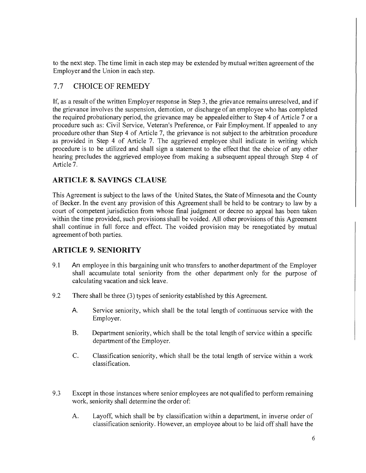to the next step. The time limit in each step may be extended by mutual written agreement of the Employer and the Union in each step.

# 7.7 CHOICE OF REMEDY

If, as a result of the written Employer response in Step 3, the grievance remains unresolved, and if the grievance involves the suspension, demotion, or discharge of an employee who has completed the required probationary period, the grievance may be appealed either to Step 4 of Article 7 or a procedure such as: Civil Service, Veteran's Preference, or Fair Employment. If appealed to any procedure other than Step 4 of Article 7, the grievance is not subject to the arbitration procedure as provided in Step 4 of Article 7. The aggrieved employee shall indicate in writing which procedure is to be utilized and shall sign a statement to the effect that the choice of any other hearing precludes the aggrieved employee from making a subsequent appeal through Step 4 of Article 7.

# **ARTICLE 8. SAVINGS CLAUSE**

This Agreement is subject to the laws of the United States, the State of Minnesota and the County of Becker. In the event any provision of this Agreement shall be held to be contrary to law by a court of competent jurisdiction from whose final judgment or decree no appeal has been taken within the time provided, such provisions shall be voided. All other provisions of this Agreement shall continue in full force and effect. The voided provision may be renegotiated by mutual agreement of both parties.

# **ARTICLE 9. SENIORITY**

- 9.1 **An** employee in this bargaining unit who transfers to another department of the Employer shall accumulate total seniority from the other department only for the purpose of calculating vacation and sick leave.
- 9.2 There shall be three (3) types of seniority established by this Agreement.
	- **A** Service seniority, which shall be the total length of continuous service with the Employer.
	- B. Department seniority, which shall be the total length of service within a specific department of the Employer.
	- C. Classification seniority, which shall be the total length of service within a work classification.
- 9.3 Except in those instances where senior employees are not qualified to perform remaining work, seniority shall determine the order of:
	- A. Layoff, which shall be by classification within a department, in inverse order of classification seniority. However, an employee about to be laid off shall have the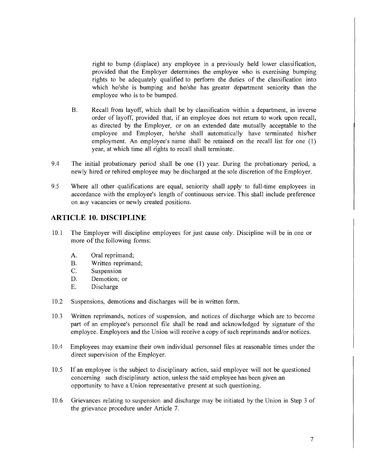right to bump (displace) any employee in a previously held lower classification, provided that the Employer determines the employee who is exercising bumping rights to be adequately qualified to perform the duties of the classification into which he/she is bumping and he/she has greater department seniority than the employee who is to be bumped.

- B. Recall from layoff, which shall be by classification within a department, in inverse order of layoff, provided that, if an employee does not return to work upon recall, as directed by the Employer, or on an extended date mutually acceptable to the employee and Employer, he/she shall automatically have terminated his/her employment. An employee's name shall be retained on the recall list for one (1) year, at which time all rights to recall shall terminate.
- 9.4 The initial probationary period shall be one (1) year. During the probationary period, a newly hired or rehired employee may be discharged at the sole discretion of the Employer.
- 9.5 Where all other qualifications are equal, seniority shall apply to full-time employees in accordance with the employee's length of continuous service. This shall include preference on auy vacancies or newly created positions.

## **ARTICLE 10. DISCIPLINE**

- l 0.1 The Employer will discipline employees for just cause only. Discipline will be in one or more of the following forms:
	- A. Oral reprimand;
	- B. Written reprimand;
	- C. Suspension
	- D. Demotion; or
	- E. Discharge
- 10.2 Suspensions, demotions and discharges will be in written form.
- 10.3 Written reprimands, notices of suspension, and notices of discharge which are to become part of an employee's personnel file shall be read and acknowledged by signature of the employee. Employees and the Union will receive a copy of such reprimands and/or notices.
- 10.4 Employees may examine their own individual personnel files at reasonable times under the direct supervision of the Employer.
- 10.5 If an employee is the subject to disciplinary action, said employee will not be questioned concerning such disciplinary action, unless the said employee has been given an opportunity to have a Union representative present at such questioning.
- 10.6 Grievances relating to suspension and discharge may be initiated by the Union in Step 3 of the grievance procedure under Article 7.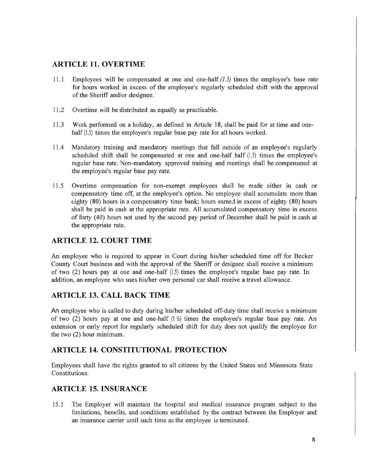## **ARTICLE 11. OVERTIME**

- 11.1 Employees will be compensated at one and one-half *(1.5)* times the employee's base rate for hours worked in excess of the employee's regularly scheduled shift with the approval of the Sheriff and/or designee.
- 11.2 Overtime will be distributed as equally as practicable.
- 11.3 Work performed on a holiday, as defined in Article 18, shall be paid for at time and onehalf (1.5) times the employee's regular base pay rate for all hours worked.
- 11.4 Mandatory training and mandatory meetings that fall outside of an employee's regularly scheduled shift shall be compensated at one and one-half half (1.5) times the employee's regular base rate. Non-mandatory approved training and meetings shall be compensated at the employee's regular base pay rate.
- 11.5 Overtime compensation for non-exempt employees shall be made either in cash or compensatory time off, at the employee's option. No employee shall accumulate more than  $\epsilon$ ighty (80) hours in a compensatory time bank; hours earned in excess of eighty (80) hours shall be paid in cash at the appropriate rate. All accumulated compensatory time in excess of forty ( 40) hours not used by the second pay period of December shall be paid in cash at the appropriate rate.

## **ARTICLE 12. COURT TIME**

An employee who is required to appear in Court during his/her scheduled time off for Becker County Court business and with the approval of the Sheriff or designee shall receive a minimum of two (2) hours pay at one and one-half (1.5) times the employee's regular base pay rate. In addition, an employee who uses his/her own personal car shall receive a travel allowance.

# **ARTICLE 13. CALL BACK TIME**

An employee who is called to duty during his/her scheduled off-duty time shall receive a minimum of two (2) hours pay at one and one-half  $(|\frac{1}{2}\rangle)$  times the employee's regular base pay rate. An extension or early report for regularly scheduled shift for duty does not qualify the employee for the two (2) hour minimum.

#### **ARTICLE 14. CONSTITUTIONAL PROTECTION**

Employees shall have the rights granted to all citizens by the United States and Minnesota State Constitutions.

# **ARTICLE 15. INSURANCE**

15.1 The Employer will maintain the hospital and medical insurance program subject to the limitations, benefits, and conditions established by the contract between the Employer and an insurance carrier until such time as the employee is terminated.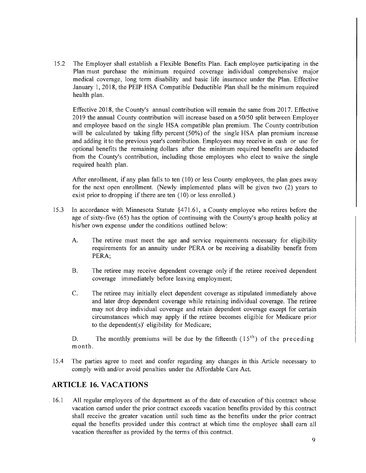15 .2 The Employer shall establish a Flexible Benefits Plan. Each employee participating in the Plan must purchase the minimum required coverage individual comprehensive major medical coverage, long term disability and basic life insurance under the Plan. Effective January 1, 2018, the PEIP HSA Compatible Deductible Plan shall be the minimum required health plan.

Effective 2018, the County's annual contribution will remain the same from 2017. Effective 2019 the annual County contribution will increase based on a 50/50 split between Employer and employee based on the single HSA compatible plan premium. The County contribution will be calculated by taking fifty percent (50%) of the single HSA plan premium increase and adding it to the previous year's contribution. Employees may receive in cash or use for optional benefits the remaining dollars after the minimum required benefits are deducted from the County's contribution, including those employees who elect to waive the single required health plan.

After enrollment, if any plan falls to ten (10) or less County employees, the plan goes away for the next open enrollment. (Newly implemented plans will be given two (2) years to exist prior to dropping if there are ten (10) or less enrolled.)

- 15 .3 In accordance with Minnesota Statute §4 71.61, a County employee who retires before the age of sixty-five (65) has the option of continuing with the County's group health policy at his/her own expense under the conditions outlined below:
	- A. The retiree must meet the age and service requirements necessary for eligibility requirements for an annuity under PERA or be receiving a disability benefit from PERA;
	- B. The retiree may receive dependent coverage only if the retiree received dependent coverage immediately before leaving employment;
	- C. The retiree may initially elect dependent coverage as stipulated immediately above and later drop dependent coverage while retaining individual coverage. The retiree may not drop individual coverage and retain dependent coverage except for certain circumstances which may apply if the retiree becomes eligible for Medicare prior to the dependent(s)' eligibility for Medicare;

D. The monthly premiums will be due by the fifteenth  $(15<sup>th</sup>)$  of the preceding month.

15 .4 The parties agree to meet and confer regarding any changes in this Article necessary to comply with and/or avoid penalties under the Affordable Care Act.

#### **ARTICLE 16. VACATIONS**

16.1 All regular employees of the department as of the date of execution of this contract whose vacation earned under the prior contract exceeds vacation benefits provided by this contract shall receive the greater vacation until such time as the benefits under the prior contract equal the benefits provided under this contract at which time the employee shall earn all vacation thereafter as provided by the terms of this contract.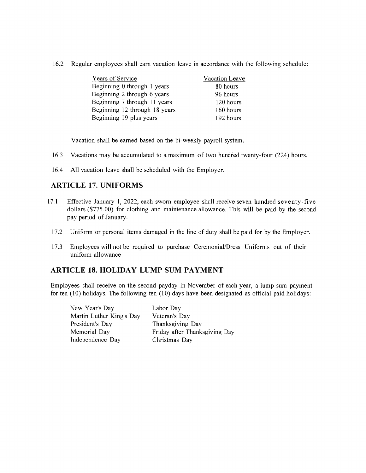16.2 Regular employees shall earn vacation leave in accordance with the following schedule:

| Years of Service              | Vacation Leave |
|-------------------------------|----------------|
| Beginning 0 through 1 years   | 80 hours       |
| Beginning 2 through 6 years   | 96 hours       |
| Beginning 7 through 11 years  | 120 hours      |
| Beginning 12 through 18 years | 160 hours      |
| Beginning 19 plus years       | 192 hours      |

Vacation shall be earned based on the bi-weekly payroll system.

- 16.3 Vacations may be accumulated to a maximum of two hundred twenty-four (224) hours.
- 16.4 All vacation leave shall be scheduled with the Employer.

## **ARTICLE 17. UNIFORMS**

- 17.1 Effective January 1, 2022, each sworn employee shall receive seven hundred seventy-five dollars (\$775.00) for clothing and maintenance allowance. This will be paid by the second pay period of January.
	- 17.2 Uniform or personal items damaged in the line of duty shall be paid for by the Employer.
	- 17.3 Employees will not be required to purchase Ceremonial/Dress Uniforms out of their uniform allowance

#### **ARTICLE 18. HOLIDAY LUMP SUM PAYMENT**

Employees shall receive on the second payday in November of each year, a lump sum payment for ten (10) holidays. The following ten (10) days have been designated as official paid holidays:

| Labor Day                     |
|-------------------------------|
| Veteran's Day                 |
| Thanksgiving Day              |
| Friday after Thanksgiving Day |
| Christmas Day                 |
|                               |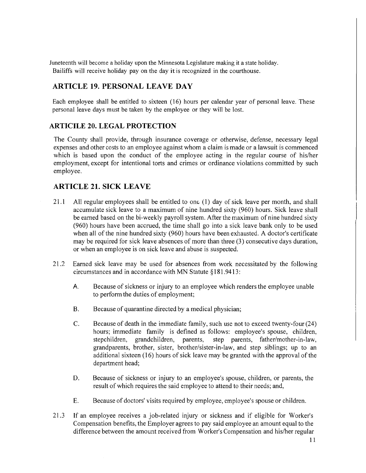Juneteenth will become a holiday upon the Minnesota Legislature making it a state holiday. Bailiffs will receive holiday pay on the day it is recognized in the courthouse.

# **ARTICLE 19. PERSONAL LEAVE DAY**

Each employee shall be entitled to sixteen (16) hours per calendar year of personal leave. These personal leave days must be taken by the employee or they will be lost.

# **ARTICILE 20. LEGAL PROTECTION**

The County shall provide, through insurance coverage or otherwise, defense, necessary legal expenses and other costs to an employee against whom a claim is made or a lawsuit is commenced which is based upon the conduct of the employee acting in the regular course of his/her employment, except for intentional torts and crimes or ordinance violations committed by such employee.

# **ARTICLE 21. SICK LEAVE**

- 21.1 All regular employees shall be entitled to one (1) day of sick leave per month, and shall accumulate sick leave to a maximum of nine hundred sixty (960) hours. Sick leave shall be earned based on the bi-weekly payroll system. After the maximum of nine hundred sixty (960) hours have been accrued, the time shall go into a sick leave bank only to be used when all of the nine hundred sixty (960) hours have been exhausted. A doctor's certificate may be required for sick leave absences of more than three (3) consecutive days duration, or when an employee is on sick leave and abuse is suspected.
- 21.2 Earned sick leave may be used for absences from work necessitated by the following circumstances and in accordance with MN Statute § 181.9413:
	- A. Because of sickness or injury to an employee which renders the employee unable to perform the duties of employment;
	- B. Because of quarantine directed by a medical physician;
	- C. Because of death in the immediate family, such use not to exceed twenty-four (24) hours; immediate family is defined as follows: employee's spouse, children, stepchildren, grandchildren, parents, step parents, father/mother-in-law, grandparents, brother, sister, brother/sister-in-law, and step siblings; up to an additional sixteen ( 16) hours of sick leave may be granted with the approval of the department head;
	- D. Because of sickness or injury to an employee's spouse, children, or parents, the result of which requires the said employee to attend to their needs; and,
	- E. Because of doctors' visits required by employee, employee's spouse or children.
- 21.3 If an employee receives a job-related injury or sickness and if eligible for Worker's Compensation benefits, the Employer agrees to pay said employee an amount equal to the difference between the amount received from Worker's Compensation and his/her regular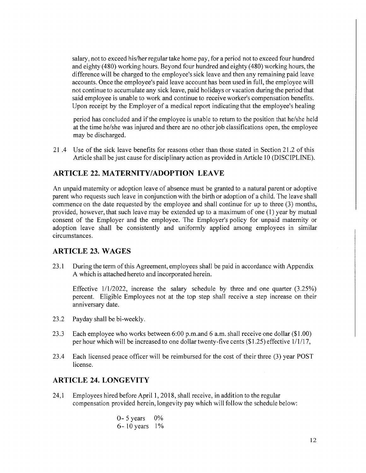salary, not to exceed his/her regular take home pay, for a period not to exceed four hundred and eighty (480) working hours. Beyond four hundred and eighty (480) working hours, the difference will be charged to the employee's sick leave and then any remaining paid leave accounts. Once the employee's paid leave account has been used in full, the employee will not continue to accumulate any sick leave, paid holidays or vacation during the period that said employee is unable to work and continue to receive worker's compensation benefits. Upon receipt by the Employer of a medical report indicating that the employee's healing

period has concluded and if the employee is unable to return to the position that he/she held at the time he/she was injured and there are no other job classifications open, the employee may be discharged.

21 .4 Use of the sick leave benefits for reasons other than those stated in Section 21.2 of this Article shall be just cause for disciplinary action as provided in Article 10 (DISCIPLINE).

# **ARTICLE 22. MATERNITY/ADOPTION LEAVE**

An unpaid maternity or adoption leave of absence must be granted to a natural parent or adoptive parent who requests such leave in conjunction with the birth or adoption of a child. The leave shall commence on the date requested by the employee and shall continue for up to three (3) months, provided, however, that such leave may be extended up to a maximum of one (1) year by mutual consent of the Employer and the employee. The Employer's policy for unpaid maternity or adoption leave shall be consistently and uniformly applied among employees in similar circumstances.

#### **ARTICLE 23. WAGES**

23 .1 During the term of this Agreement, employees shall be paid in accordance with Appendix A which is attached hereto and incorporated herein.

Effective 1/1/2022, increase the salary schedule by three and one quarter (3.25%) percent. Eligible Employees not at the top step shall receive a step increase on their anniversary date.

- 23.2 Payday shall be bi-weekly.
- 23.3 Each employee who works between 6:00 p.m.and 6 a.m. shall receive one dollar (\$1.00) per hour which will be increased to one dollar twenty-five cents (\$1.25) effective 1/1/17,
- 23.4 Each licensed peace officer will be reimbursed for the cost of their three (3) year POST license.

#### **ARTICLE 24. LONGEVITY**

24, 1 Employees hired before April 1, 2018, shall receive, in addition to the regular compensation provided herein, longevity pay which will follow the schedule below:

$$
0 - 5 \text{ years} \quad 0\%
$$
  
 $6 - 10 \text{ years} \quad 1\%$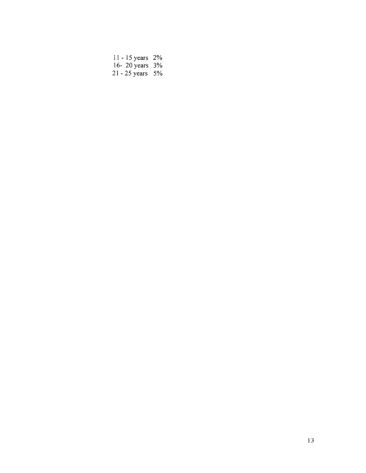| 11 - 15 years 2%      |  |
|-----------------------|--|
| 16-20 years 3%        |  |
| $21 - 25$ years $5\%$ |  |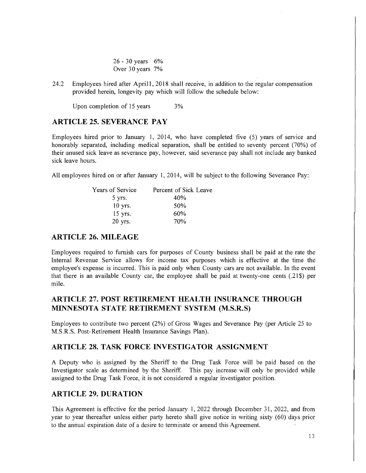26 - 30 years 6% Over 30 years 7%

24.2 Employees hired after April 1, 2018 shall receive, in addition to the regular compensation provided herein, longevity pay which will follow the schedule below:

Upon completion of 15 years 3%

## **ARTICLE 25. SEVERANCE PAY**

Employees hired prior to January 1, 2014, who have completed five (5) years of service and honorably separated, including medical separation, shall be entitled to seventy percent (70%) of their unused sick leave as severance pay, however, said severance pay shall not include any banked sick leave hours.

All employees hired on or after January 1, 2014, will be subject to the following Severance Pay:

| Years of Service | Percent of Sick Leave |
|------------------|-----------------------|
| 5 yrs.           | 40%                   |
| $10$ yrs.        | 50%                   |
| $15$ yrs.        | 60%                   |
| 20 yrs.          | 70%                   |

#### **ARTICLE 26. MILEAGE**

Employees required to furnish cars for purposes of County business shall be paid at the rate the Internal Revenue Service allows for income tax purposes which is effective at the time the employee's expense is incurred. This is paid only when County cars are not available. In the event that there is an available County car, the employee shall be paid at twenty-one cents  $(.21\$  per mile.

# **ARTICLE 27. POST RETIREMENT HEALTH INSURANCE THROUGH MINNESOTA STATE RETIREMENT SYSTEM (M.S.R.S)**

Employees to contribute two percent (2%) of Gross Wages and Severance Pay (per Article 25 to M.S.R.S. Post-Retirement Health Insurance Savings Plan).

#### **ARTICLE 28. TASK FORCE INVESTIGATOR ASSIGNMENT**

A Deputy who is assigned by the Sheriff to the Drug Task Force will be paid based on the Investigator scale as determined by the Sheriff. This pay increase will only be provided while assigned to the Drug Task Force, it is not considered a regular investigator position.

## **ARTICLE 29. DURATION**

This Agreement is effective for the period January 1, 2022 through December 31, 2022, and from year to year thereafter unless either party hereto shall give notice in writing sixty (60) days prior to the annual expiration date of a desire to terminate or amend this Agreement.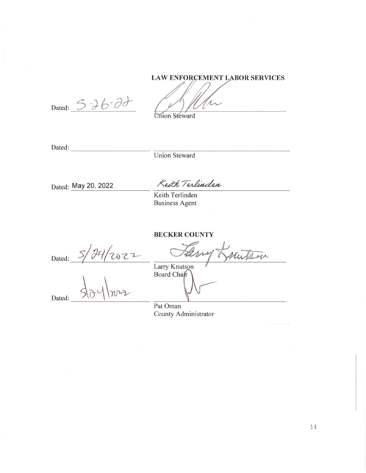## LAW ENFORCEMENT LABOR SERVICES

Dated: 5 26 - 00

Union Steward

Dated: ----------

Union Steward

Dated: **May** 20, 2022

Keith Terlinden

Keith Terlinden Business Agent

**BECKER COUNTY** 

 $5/24/2022$ Dated:

Dated:

BECKER COUNTY<br>
Larry Knutson<br>
Larry Knutson<br>
Board Chair

Larry Knutson<br>Board Chair

Pat Oman County Administrator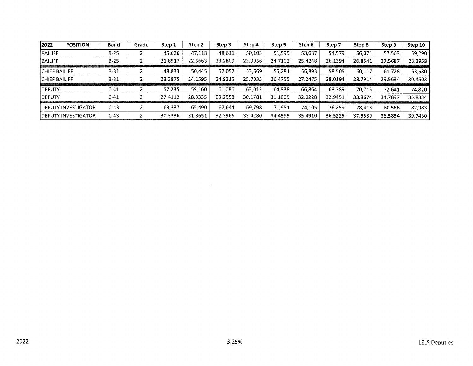| 2022<br><b>POSITION</b>     | Band   | Grade | Step 1  | Step 2  | Step 3  | Step 4  | Step 5  | Step 6  | Step 7  | Step 8  | Step 9  | Step 10 |
|-----------------------------|--------|-------|---------|---------|---------|---------|---------|---------|---------|---------|---------|---------|
| <b>BAILIFF</b>              | $B-25$ |       | 45.626  | 47.118  | 48.611  | 50,103  | 51,595  | 53.087  | 54.579  | 56.071  | 57,563  | 59,290  |
| <b>BAILIFF</b>              | $B-25$ |       | 21.8517 | 22.5663 | 23.2809 | 23.9956 | 24.7102 | 25.4248 | 26.1394 | 26.8541 | 27.5687 | 28.3958 |
| <b>CHIEF BAILIFF</b>        | $B-31$ |       | 48,833  | 50.445  | 52.057  | 53,669  | 55,281  | 56,893  | 58.505  | 60.117  | 61,728  | 63,580  |
| <b>ICHIEF BAILIFF</b>       | $B-31$ |       | 23.3875 | 24.1595 | 24.9315 | 25.7035 | 26.4755 | 27.2475 | 28.0194 | 28.7914 | 29.5634 | 30.4503 |
| <b>IDEPUTY</b>              | C-41   |       | 57.235  | 59.160  | 61.086  | 63,012  | 64,938  | 66,864  | 68,789  | 70,715  | 72.641  | 74,820  |
| <b>IDEPUTY</b>              | C-41   |       | 27.4112 | 28.3335 | 29.2558 | 30.1781 | 31.1005 | 32.0228 | 32.9451 | 33.8674 | 34.7897 | 35.8334 |
| <b>IDEPUTY INVESTIGATOR</b> | C-43   |       | 63,337  | 65.490  | 67.644  | 69,798  | 71.951  | 74.105  | 76,259  | 78.413  | 80,566  | 82,983  |
| <b>IDEPUTY INVESTIGATOR</b> | $C-43$ |       | 30.3336 | 31.3651 | 32.3966 | 33.4280 | 34.4595 | 35.4910 | 36.5225 | 37.5539 | 38.5854 | 39.7430 |

 $\sim 10^{11}$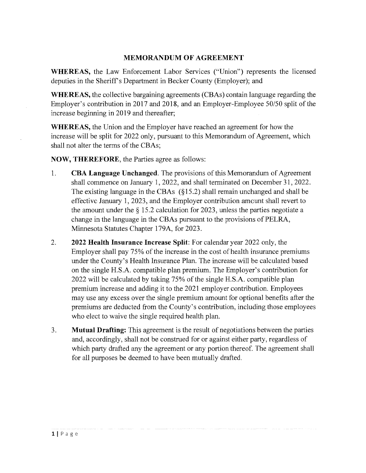# **MEMORANDUM OF AGREEMENT**

**WHEREAS,** the Law Enforcement Labor Services ("Union") represents the licensed deputies in the Sheriff's Department in Becker County (Employer); and

**WHEREAS,** the collective bargaining agreements (CBAs) contain language regarding the Employer's contribution in 2017 and 2018, and an Employer-Employee 50/50 split of the increase beginning in 2019 and thereafter;

**WHEREAS,** the Union and the Employer have reached an agreement for how the increase will be split for 2022 only, pursuant to this Memorandum of Agreement, which shall not alter the terms of the CBAs;

**NOW, THEREFORE,** the Parties agree as follows:

- 1. **CBA Language Unchanged.** The provisions of this Memorandum of Agreement shall commence on January 1, 2022, and shall terminated on December 31, 2022. The existing language in the CBAs  $(S15.2)$  shall remain unchanged and shall be effective January 1, 2023, and the Employer contribution amount shall revert to the amount under the§ 15.2 calculation for 2023, unless the parties negotiate a change in the language in the CB As pursuant to the provisions of PELRA, Minnesota Statutes Chapter 179A, for 2023.
- 2. **2022 Health Insurance Increase Split:** For calendar year 2022 only, the Employer shall pay 75% of the increase in the cost of health insurance premiums under the County's Health Insurance Plan. The increase will be calculated based on the single H.S.A. compatible plan premium. The Employer's contribution for 2022 will be calculated by taking 75% of the single H.S.A. compatible plan premium increase and adding it to the 2021 employer contribution. Employees may use any excess over the single premium amount for optional benefits after the premiums are deducted from the County's contribution, including those employees who elect to waive the single required health plan.
- 3. **Mutual Drafting:** This agreement is the result of negotiations between the parties and, accordingly, shall not be construed for or against either party, regardless of which party drafted any the agreement or any portion thereof. The agreement shall for all purposes be deemed to have been mutually drafted.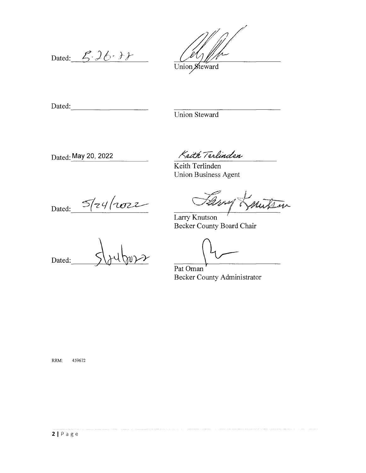Dated:  $5.26.7$ 

Union Steward

Dated:  $\Box$ 

Union Steward

Dated: **May 20, 2022** 

Keith Terlinden

Keith Terlinden Union Business Agent

Dated:  $5/24/10022$ 

Mutron 20 mg 7

Larry Knutson *<sup>1</sup>* Becker County Board Chair

Dated:

Pat Oman Becker County Administrator

RRM: 459672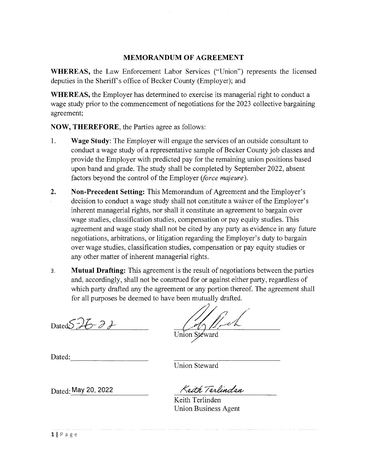## **MEMORANDUM OF AGREEMENT**

**WHEREAS,** the Law Enforcement Labor Services ("Union") represents the licensed deputies in the Sheriff's office of Becker County (Employer); and

**WHEREAS,** the Employer has determined to exercise its managerial right to conduct a wage study prior to the commencement of negotiations for the 2023 collective bargaining agreement;

**NOW, THEREFORE,** the Parties agree as follows:

- 1. **Wage Study:** The Employer will engage the services of an outside consultant to conduct a wage study of a representative sample of Becker County job classes and provide the Employer with predicted pay for the remaining union positions based upon band and grade. The study shall be completed by September 2022, absent factors beyond the control of the Employer *(force majeure* ).
- **2. Non-Precedent Setting:** This Memorandum of Agreement and the Employer's decision to conduct a wage study shall not constitute a waiver of the Employer's inherent managerial rights, nor shall it constitute an agreement to bargain over wage studies, classification studies, compensation or pay equity studies. This agreement and wage study shall not be cited by any party as evidence in any future negotiations, arbitrations, or litigation regarding the Employer's duty to bargain over wage studies, classification studies, compensation or pay equity studies or any other matter of inherent managerial rights.
- 3. **Mutual Drafting:** This agreement is the result of negotiations between the parties and, accordingly, shall not be construed for or against either party, regardless of which party drafted any the agreement or any portion thereof. The agreement shall for all purposes be deemed to have been mutually drafted.

Dated: $\frac{26-2}{10}$  Dated: $\frac{2}{10}$ 

 $N_{\ell}$ 

Dated: ----------

Union Steward

Dated: **May 20, 2022** 

Keith Terlinden

Keith Terlinden Union Business Agent

llPage